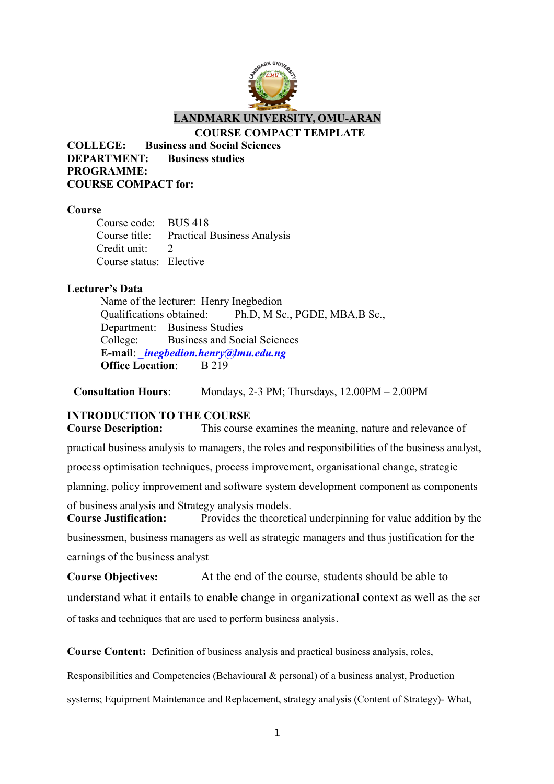

**LANDMARK UNIVERSITY, OMU-ARAN**

**COURSE COMPACT TEMPLATE**

**COLLEGE: Business and Social Sciences DEPARTMENT: Business studies PROGRAMME: COURSE COMPACT for:**

#### **Course**

Course code: BUS 418 Course title: Practical Business Analysis Credit unit: 2 Course status: Elective

#### **Lecturer's Data**

Name of the lecturer: Henry Inegbedion Qualifications obtained: Ph.D, M Sc., PGDE, MBA,B Sc., Department: Business Studies College: Business and Social Sciences **E-mail**: *[\\_inegbedion.henry@lmu.edu.ng](mailto:_inegbedion.henry@lmu.edu.ng)* **Office Location:** B 219

**Consultation Hours**: Mondays, 2-3 PM; Thursdays, 12.00PM – 2.00PM

#### **INTRODUCTION TO THE COURSE**

**Course Description:** This course examines the meaning, nature and relevance of practical business analysis to managers, the roles and responsibilities of the business analyst, process optimisation techniques, process improvement, organisational change, strategic planning, policy improvement and software system development component as components of business analysis and Strategy analysis models. **Course Justification:** Provides the theoretical underpinning for value addition by the

businessmen, business managers as well as strategic managers and thus justification for the earnings of the business analyst

**Course Objectives:** At the end of the course, students should be able to understand what it entails to enable change in organizational context as well as the set of tasks and techniques that are used to perform business analysis.

**Course Content:** Definition of business analysis and practical business analysis, roles,

Responsibilities and Competencies (Behavioural & personal) of a business analyst, Production

systems; Equipment Maintenance and Replacement, strategy analysis (Content of Strategy)- What,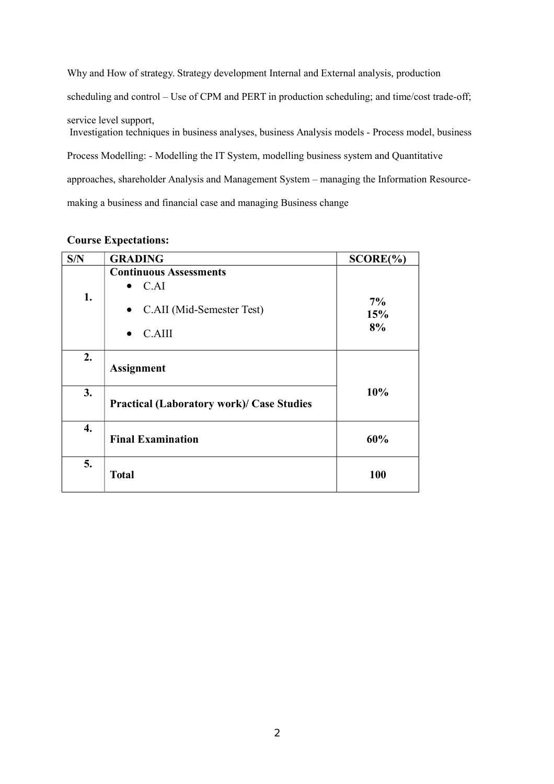Why and How of strategy. Strategy development Internal and External analysis, production scheduling and control – Use of CPM and PERT in production scheduling; and time/cost trade-off; service level support, Investigation techniques in business analyses, business Analysis models - Process model, business Process Modelling: - Modelling the IT System, modelling business system and Quantitative approaches, shareholder Analysis and Management System – managing the Information Resourcemaking a business and financial case and managing Business change

| S/N | <b>GRADING</b>                                                                                         | SCORE(%)           |
|-----|--------------------------------------------------------------------------------------------------------|--------------------|
| 1.  | <b>Continuous Assessments</b><br>C.AI<br>$\bullet$<br>C.AII (Mid-Semester Test)<br>$\bullet$<br>C.AIII | $7\%$<br>15%<br>8% |
| 2.  | <b>Assignment</b>                                                                                      |                    |
| 3.  | <b>Practical (Laboratory work)/ Case Studies</b>                                                       | 10%                |
| 4.  | <b>Final Examination</b>                                                                               | 60%                |
| 5.  | <b>Total</b>                                                                                           | 100                |

#### **Course Expectations:**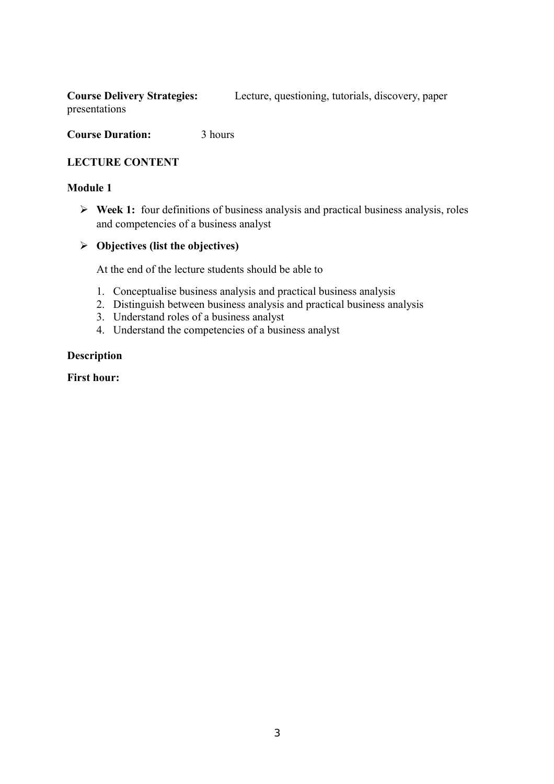**Course Delivery Strategies:** Lecture, questioning, tutorials, discovery, paper presentations

**Course Duration:** 3 hours

#### **LECTURE CONTENT**

#### **Module 1**

 **Week 1:** four definitions of business analysis and practical business analysis, roles and competencies of a business analyst

### **Objectives (list the objectives)**

At the end of the lecture students should be able to

- 1. Conceptualise business analysis and practical business analysis
- 2. Distinguish between business analysis and practical business analysis
- 3. Understand roles of a business analyst
- 4. Understand the competencies of a business analyst

#### **Description**

#### **First hour:**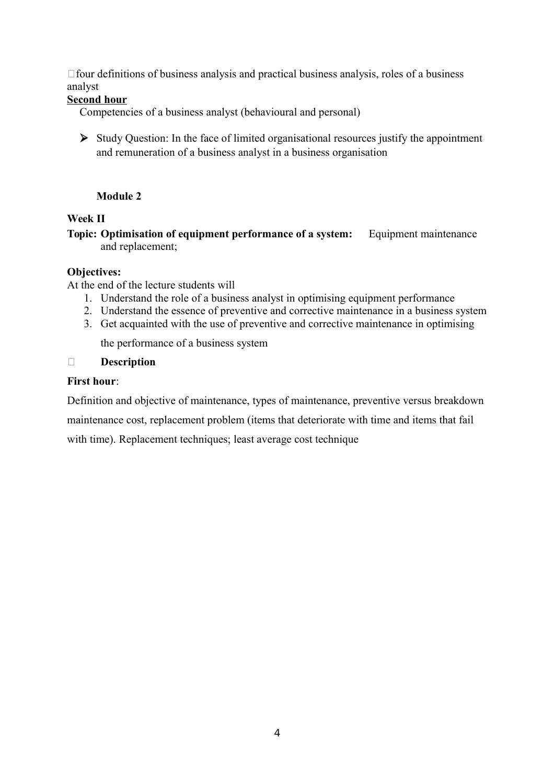$\Box$  four definitions of business analysis and practical business analysis, roles of a business analyst

#### **Second hour**

Competencies of a business analyst (behavioural and personal)

 $\triangleright$  Study Question: In the face of limited organisational resources justify the appointment and remuneration of a business analyst in a business organisation

#### **Module 2**

#### **Week II**

**Topic: Optimisation of equipment performance of a system:** Equipment maintenance and replacement;

#### **Objectives:**

At the end of the lecture students will

- 1. Understand the role of a business analyst in optimising equipment performance
- 2. Understand the essence of preventive and corrective maintenance in a business system
- 3. Get acquainted with the use of preventive and corrective maintenance in optimising

the performance of a business system

#### **Description**

#### **First hour**:

Definition and objective of maintenance, types of maintenance, preventive versus breakdown

maintenance cost, replacement problem (items that deteriorate with time and items that fail

with time). Replacement techniques; least average cost technique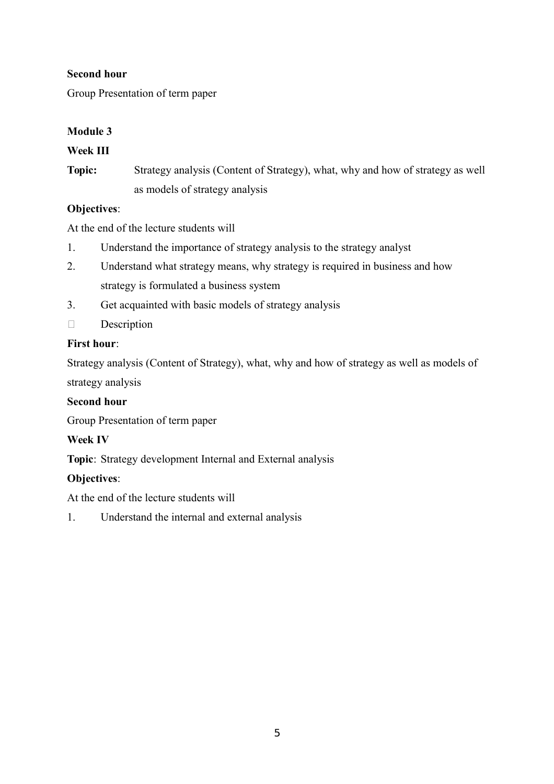#### **Second hour**

Group Presentation of term paper

### **Module 3**

### **Week III**

**Topic:** Strategy analysis (Content of Strategy), what, why and how of strategy as well as models of strategy analysis

#### **Objectives**:

At the end of the lecture students will

- 1. Understand the importance of strategy analysis to the strategy analyst
- 2. Understand what strategy means, why strategy is required in business and how strategy is formulated a business system
- 3. Get acquainted with basic models of strategy analysis
- Description

#### **First hour**:

Strategy analysis (Content of Strategy), what, why and how of strategy as well as models of strategy analysis

#### **Second hour**

Group Presentation of term paper

### **Week IV**

**Topic**: Strategy development Internal and External analysis

### **Objectives**:

At the end of the lecture students will

1. Understand the internal and external analysis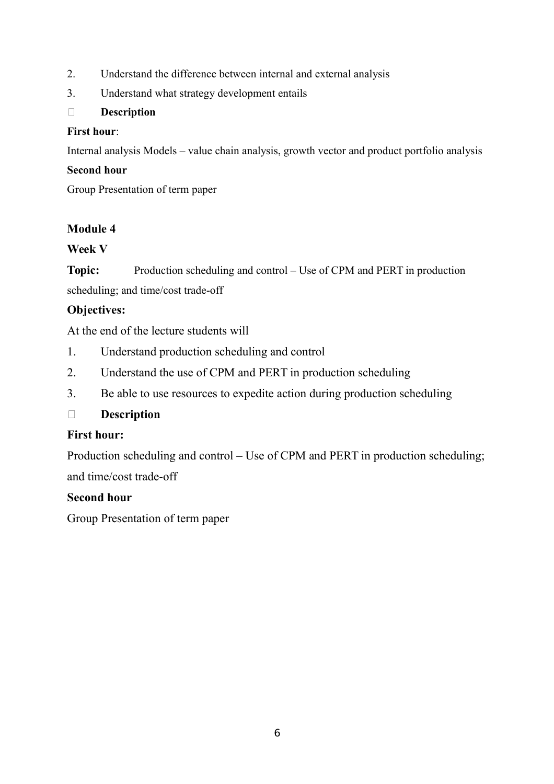- 2. Understand the difference between internal and external analysis
- 3. Understand what strategy development entails

### **Description**

### **First hour**:

Internal analysis Models – value chain analysis, growth vector and product portfolio analysis

### **Second hour**

Group Presentation of term paper

# **Module 4**

## **Week V**

**Topic:** Production scheduling and control – Use of CPM and PERT in production scheduling; and time/cost trade-off

## **Objectives:**

At the end of the lecture students will

- 1. Understand production scheduling and control
- 2. Understand the use of CPM and PERT in production scheduling
- 3. Be able to use resources to expedite action during production scheduling

# **Description**

## **First hour:**

Production scheduling and control – Use of CPM and PERT in production scheduling; and time/cost trade-off

## **Second hour**

Group Presentation of term paper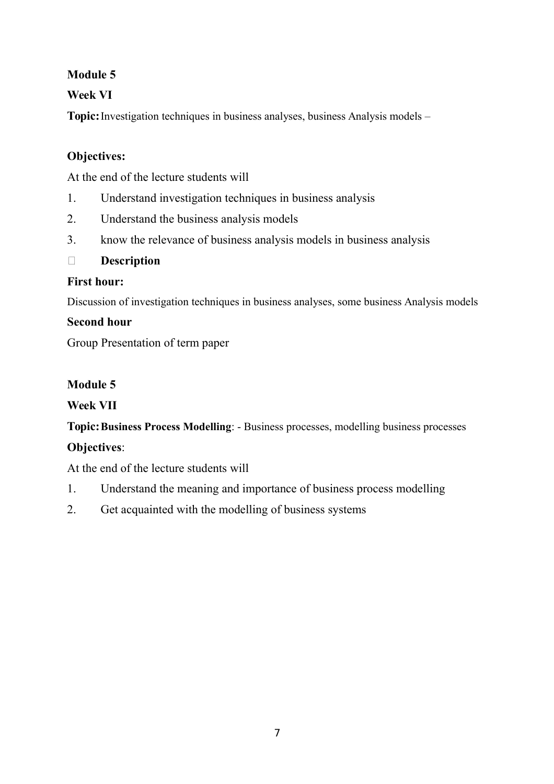# **Module 5**

# **Week VI**

**Topic:**Investigation techniques in business analyses, business Analysis models –

# **Objectives:**

At the end of the lecture students will

- 1. Understand investigation techniques in business analysis
- 2. Understand the business analysis models
- 3. know the relevance of business analysis models in business analysis

# **Description**

# **First hour:**

Discussion of investigation techniques in business analyses, some business Analysis models

# **Second hour**

Group Presentation of term paper

# **Module 5**

# **Week VII**

**Topic:Business Process Modelling**: - Business processes, modelling business processes

# **Objectives**:

At the end of the lecture students will

- 1. Understand the meaning and importance of business process modelling
- 2. Get acquainted with the modelling of business systems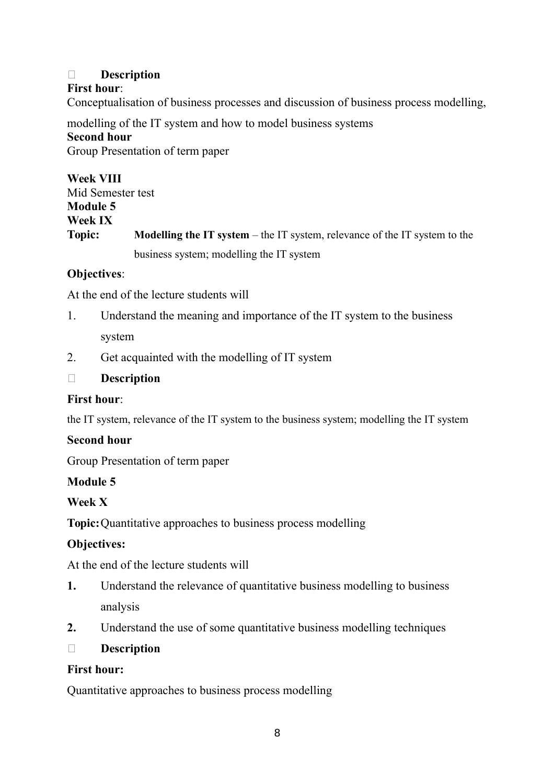## **Description**

### **First hour**:

Conceptualisation of business processes and discussion of business process modelling,

modelling of the IT system and how to model business systems **Second hour** Group Presentation of term paper

**Week VIII** Mid Semester test **Module 5 Week IX Topic: Modelling the IT system** – the IT system, relevance of the IT system to the business system; modelling the IT system

## **Objectives**:

At the end of the lecture students will

- 1. Understand the meaning and importance of the IT system to the business system
- 2. Get acquainted with the modelling of IT system

## **Description**

## **First hour**:

the IT system, relevance of the IT system to the business system; modelling the IT system

### **Second hour**

Group Presentation of term paper

## **Module 5**

### **Week X**

**Topic:**Quantitative approaches to business process modelling

## **Objectives:**

At the end of the lecture students will

- **1.** Understand the relevance of quantitative business modelling to business analysis
- **2.** Understand the use of some quantitative business modelling techniques
- **Description**

### **First hour:**

Quantitative approaches to business process modelling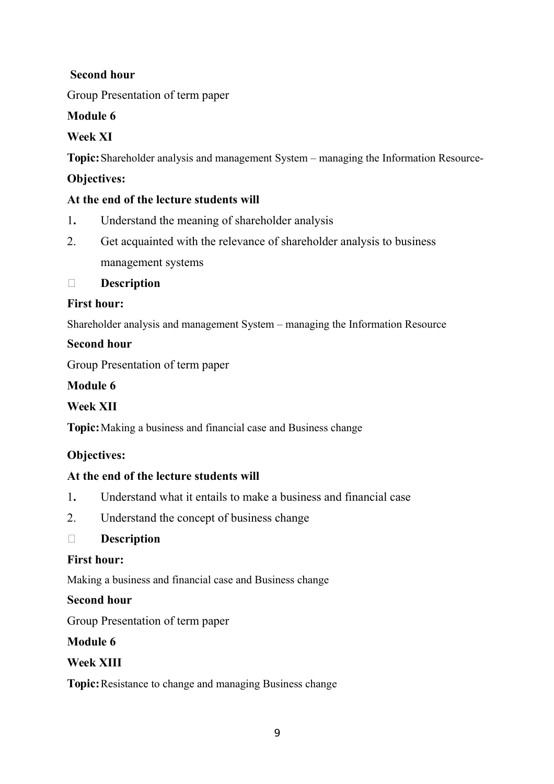# **Second hour**

Group Presentation of term paper

# **Module 6**

# **Week XI**

**Topic:**Shareholder analysis and management System – managing the Information Resource-

## **Objectives:**

## **At the end of the lecture students will**

- 1**.** Understand the meaning of shareholder analysis
- 2. Get acquainted with the relevance of shareholder analysis to business management systems

**Description**

## **First hour:**

Shareholder analysis and management System – managing the Information Resource

## **Second hour**

Group Presentation of term paper

# **Module 6**

# **Week XII**

**Topic:**Making a business and financial case and Business change

# **Objectives:**

# **At the end of the lecture students will**

- 1**.** Understand what it entails to make a business and financial case
- 2. Understand the concept of business change

## **Description**

## **First hour:**

Making a business and financial case and Business change

## **Second hour**

Group Presentation of term paper

## **Module 6**

## **Week XIII**

**Topic:**Resistance to change and managing Business change